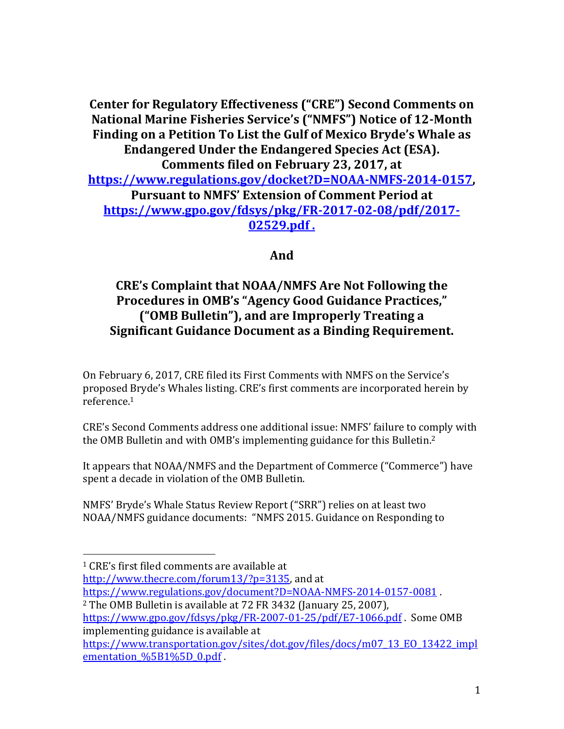**Center for Regulatory Effectiveness ("CRE") Second Comments on National Marine Fisheries Service's ("NMFS") Notice of 12-Month Finding on a Petition To List the Gulf of Mexico Bryde's Whale as Endangered Under the Endangered Species Act (ESA). Comments filed on February 23, 2017, at [https://www.regulations.gov/docket?D=NOAA-NMFS-2014-0157,](https://www.regulations.gov/docket?D=NOAA-NMFS-2014-0157) Pursuant to NMFS' Extension of Comment Period at [https://www.gpo.gov/fdsys/pkg/FR-2017-02-08/pdf/2017-](https://www.gpo.gov/fdsys/pkg/FR-2017-02-08/pdf/2017-02529.pdf) [02529.pdf](https://www.gpo.gov/fdsys/pkg/FR-2017-02-08/pdf/2017-02529.pdf) .**

## **And**

## **CRE's Complaint that NOAA/NMFS Are Not Following the Procedures in OMB's "Agency Good Guidance Practices," ("OMB Bulletin"), and are Improperly Treating a Significant Guidance Document as a Binding Requirement.**

On February 6, 2017, CRE filed its First Comments with NMFS on the Service's proposed Bryde's Whales listing. CRE's first comments are incorporated herein by reference.<sup>1</sup>

CRE's Second Comments address one additional issue: NMFS' failure to comply with the OMB Bulletin and with OMB's implementing guidance for this Bulletin.<sup>2</sup>

It appears that NOAA/NMFS and the Department of Commerce ("Commerce") have spent a decade in violation of the OMB Bulletin.

NMFS' Bryde's Whale Status Review Report ("SRR") relies on at least two NOAA/NMFS guidance documents: "NMFS 2015. Guidance on Responding to

 $\overline{\phantom{a}}$ 

[http://www.thecre.com/forum13/?p=3135,](https://www.thecre.com/forum13/?p=3135) and at

<https://www.regulations.gov/document?D=NOAA-NMFS-2014-0157-0081> .

<sup>2</sup> The OMB Bulletin is available at 72 FR 3432 (January 25, 2007),

<sup>1</sup> CRE's first filed comments are available at

<https://www.gpo.gov/fdsys/pkg/FR-2007-01-25/pdf/E7-1066.pdf> . Some OMB implementing guidance is available at

[https://www.transportation.gov/sites/dot.gov/files/docs/m07\\_13\\_EO\\_13422\\_impl](https://www.transportation.gov/sites/dot.gov/files/docs/m07_13_EO_13422_implementation_%5B1%5D_0.pdf) ementation %5B1%5D 0.pdf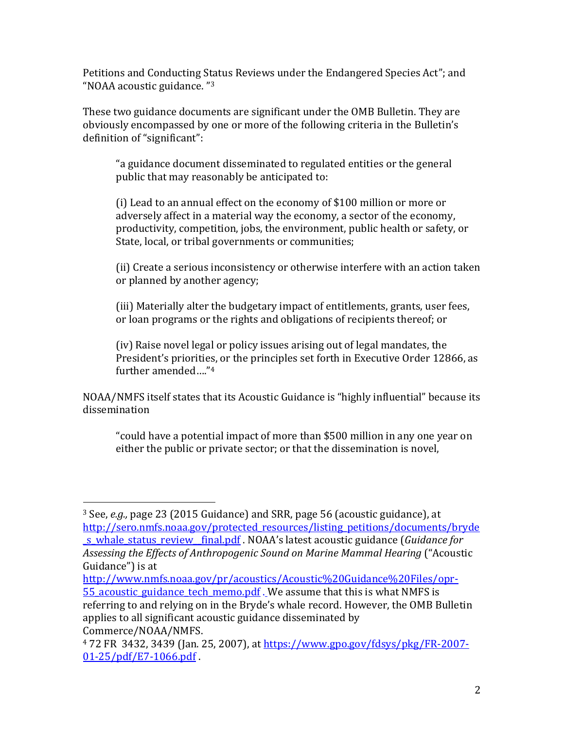Petitions and Conducting Status Reviews under the Endangered Species Act"; and "NOAA acoustic guidance. " 3

These two guidance documents are significant under the OMB Bulletin. They are obviously encompassed by one or more of the following criteria in the Bulletin's definition of "significant":

"a guidance document disseminated to regulated entities or the general public that may reasonably be anticipated to:

(i) Lead to an annual effect on the economy of \$100 million or more or adversely affect in a material way the economy, a sector of the economy, productivity, competition, jobs, the environment, public health or safety, or State, local, or tribal governments or communities;

(ii) Create a serious inconsistency or otherwise interfere with an action taken or planned by another agency;

(iii) Materially alter the budgetary impact of entitlements, grants, user fees, or loan programs or the rights and obligations of recipients thereof; or

(iv) Raise novel legal or policy issues arising out of legal mandates, the President's priorities, or the principles set forth in Executive Order 12866, as further amended…."<sup>4</sup>

NOAA/NMFS itself states that its Acoustic Guidance is "highly influential" because its dissemination

"could have a potential impact of more than \$500 million in any one year on either the public or private sector; or that the dissemination is novel,

l

<sup>3</sup> See, *e.g.,* page 23 (2015 Guidance) and SRR, page 56 (acoustic guidance), at [http://sero.nmfs.noaa.gov/protected\\_resources/listing\\_petitions/documents/bryde](https://sero.nmfs.noaa.gov/protected_resources/listing_petitions/documents/bryde_s_whale_status_review__final.pdf) [\\_s\\_whale\\_status\\_review\\_\\_final.pdf](https://sero.nmfs.noaa.gov/protected_resources/listing_petitions/documents/bryde_s_whale_status_review__final.pdf) . NOAA's latest acoustic guidance (*Guidance for Assessing the Effects of Anthropogenic Sound on Marine Mammal Hearing* ("Acoustic Guidance") is at

[http://www.nmfs.noaa.gov/pr/acoustics/Acoustic%20Guidance%20Files/opr-](https://www.nmfs.noaa.gov/pr/acoustics/Acoustic%20Guidance%20Files/opr-55_acoustic_guidance_tech_memo.pdf)55 acoustic guidance tech memo.pdf. We assume that this is what NMFS is referring to and relying on in the Bryde's whale record. However, the OMB Bulletin applies to all significant acoustic guidance disseminated by Commerce/NOAA/NMFS.

<sup>4</sup> 72 FR 3432, 3439 (Jan. 25, 2007), at [https://www.gpo.gov/fdsys/pkg/FR-2007-](https://www.gpo.gov/fdsys/pkg/FR-2007-01-25/pdf/E7-1066.pdf) [01-25/pdf/E7-1066.pdf](https://www.gpo.gov/fdsys/pkg/FR-2007-01-25/pdf/E7-1066.pdf) .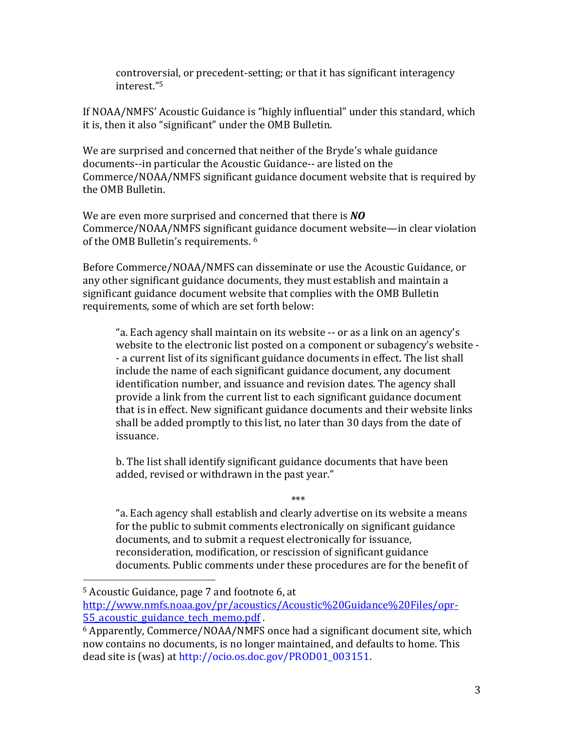controversial, or precedent-setting; or that it has significant interagency interest."<sup>5</sup>

If NOAA/NMFS' Acoustic Guidance is "highly influential" under this standard, which it is, then it also "significant" under the OMB Bulletin.

We are surprised and concerned that neither of the Bryde's whale guidance documents--in particular the Acoustic Guidance-- are listed on the Commerce/NOAA/NMFS significant guidance document website that is required by the OMB Bulletin.

We are even more surprised and concerned that there is *NO* Commerce/NOAA/NMFS significant guidance document website—in clear violation of the OMB Bulletin's requirements. <sup>6</sup>

Before Commerce/NOAA/NMFS can disseminate or use the Acoustic Guidance, or any other significant guidance documents, they must establish and maintain a significant guidance document website that complies with the OMB Bulletin requirements, some of which are set forth below:

"a. Each agency shall maintain on its website -- or as a link on an agency's website to the electronic list posted on a component or subagency's website - - a current list of its significant guidance documents in effect. The list shall include the name of each significant guidance document, any document identification number, and issuance and revision dates. The agency shall provide a link from the current list to each significant guidance document that is in effect. New significant guidance documents and their website links shall be added promptly to this list, no later than 30 days from the date of issuance.

b. The list shall identify significant guidance documents that have been added, revised or withdrawn in the past year."

"a. Each agency shall establish and clearly advertise on its website a means for the public to submit comments electronically on significant guidance documents, and to submit a request electronically for issuance, reconsideration, modification, or rescission of significant guidance documents. Public comments under these procedures are for the benefit of

\*\*\*

 $\overline{\phantom{a}}$ 

<sup>5</sup> Acoustic Guidance, page 7 and footnote 6, at

[http://www.nmfs.noaa.gov/pr/acoustics/Acoustic%20Guidance%20Files/opr-](https://www.nmfs.noaa.gov/pr/acoustics/Acoustic%20Guidance%20Files/opr-55_acoustic_guidance_tech_memo.pdf)55 acoustic guidance tech memo.pdf.

<sup>6</sup> Apparently, Commerce/NOAA/NMFS once had a significant document site, which now contains no documents, is no longer maintained, and defaults to home. This dead site is (was) at [http://ocio.os.doc.gov/PROD01\\_003151.](https://www.google.com/url?q=https://ocio.os.doc.gov/PROD01_003151&sa=D&ust=1487181470106000&usg=AFQjCNFqhihSHJceXYSD5JBjrIPMumuCZg)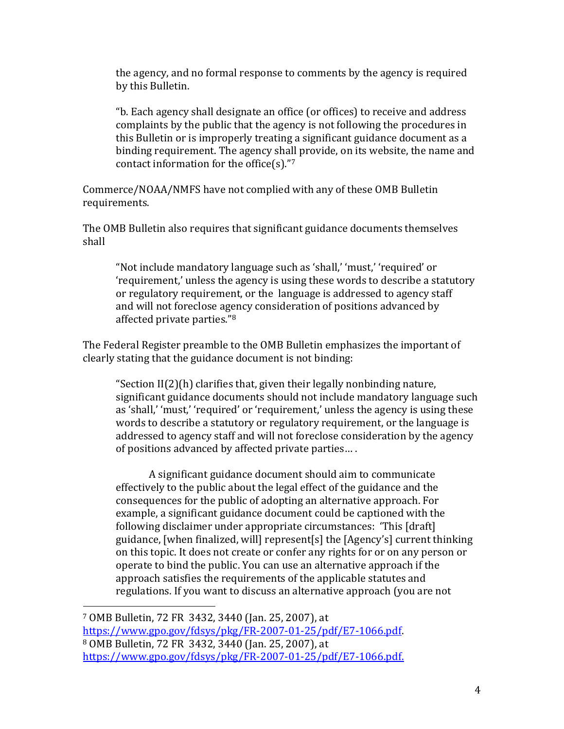the agency, and no formal response to comments by the agency is required by this Bulletin.

"b. Each agency shall designate an office (or offices) to receive and address complaints by the public that the agency is not following the procedures in this Bulletin or is improperly treating a significant guidance document as a binding requirement. The agency shall provide, on its website, the name and contact information for the office(s)."7

Commerce/NOAA/NMFS have not complied with any of these OMB Bulletin requirements.

The OMB Bulletin also requires that significant guidance documents themselves shall

"Not include mandatory language such as 'shall,' 'must,' 'required' or 'requirement,' unless the agency is using these words to describe a statutory or regulatory requirement, or the language is addressed to agency staff and will not foreclose agency consideration of positions advanced by affected private parties." 8

The Federal Register preamble to the OMB Bulletin emphasizes the important of clearly stating that the guidance document is not binding:

"Section II(2)(h) clarifies that, given their legally nonbinding nature, significant guidance documents should not include mandatory language such as 'shall,' 'must,' 'required' or 'requirement,' unless the agency is using these words to describe a statutory or regulatory requirement, or the language is addressed to agency staff and will not foreclose consideration by the agency of positions advanced by affected private parties… .

A significant guidance document should aim to communicate effectively to the public about the legal effect of the guidance and the consequences for the public of adopting an alternative approach. For example, a significant guidance document could be captioned with the following disclaimer under appropriate circumstances: 'This [draft] guidance, [when finalized, will] represent[s] the [Agency's] current thinking on this topic. It does not create or confer any rights for or on any person or operate to bind the public. You can use an alternative approach if the approach satisfies the requirements of the applicable statutes and regulations. If you want to discuss an alternative approach (you are not

 $\overline{\phantom{a}}$ 

<sup>7</sup> OMB Bulletin, 72 FR 3432, 3440 (Jan. 25, 2007), at [https://www.gpo.gov/fdsys/pkg/FR-2007-01-25/pdf/E7-1066.pdf.](https://www.gpo.gov/fdsys/pkg/FR-2007-01-25/pdf/E7-1066.pdf) <sup>8</sup> OMB Bulletin, 72 FR 3432, 3440 (Jan. 25, 2007), at [https://www.gpo.gov/fdsys/pkg/FR-2007-01-25/pdf/E7-1066.pdf.](https://www.gpo.gov/fdsys/pkg/FR-2007-01-25/pdf/E7-1066.pdf)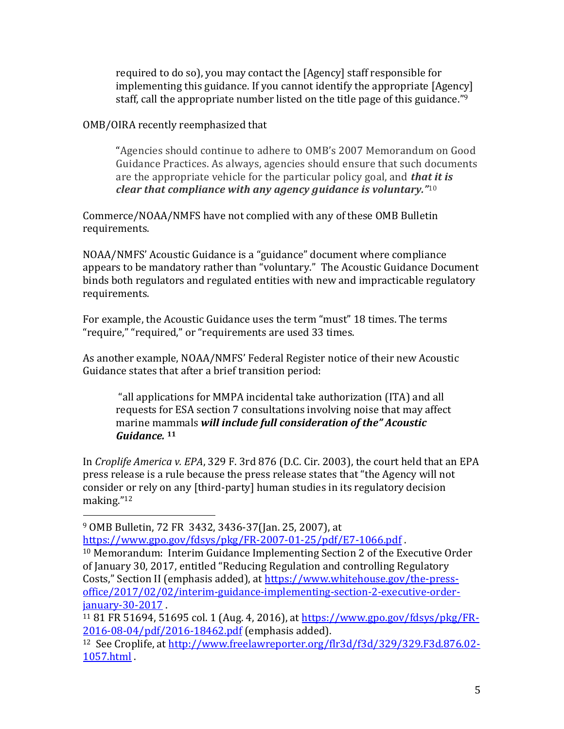required to do so), you may contact the [Agency] staff responsible for implementing this guidance. If you cannot identify the appropriate [Agency] staff, call the appropriate number listed on the title page of this guidance." 9

## OMB/OIRA recently reemphasized that

"Agencies should continue to adhere to OMB's 2007 Memorandum on Good Guidance Practices. As always, agencies should ensure that such documents are the appropriate vehicle for the particular policy goal, and *that it is clear that compliance with any agency guidance is voluntary."*<sup>10</sup>

Commerce/NOAA/NMFS have not complied with any of these OMB Bulletin requirements.

NOAA/NMFS' Acoustic Guidance is a "guidance" document where compliance appears to be mandatory rather than "voluntary." The Acoustic Guidance Document binds both regulators and regulated entities with new and impracticable regulatory requirements.

For example, the Acoustic Guidance uses the term "must" 18 times. The terms "require," "required," or "requirements are used 33 times.

As another example, NOAA/NMFS' Federal Register notice of their new Acoustic Guidance states that after a brief transition period:

"all applications for MMPA incidental take authorization (ITA) and all requests for ESA section 7 consultations involving noise that may affect marine mammals *will include full consideration of the" Acoustic Guidance.* **<sup>11</sup>**

In *Croplife America v. EPA*, 329 F. 3rd 876 (D.C. Cir. 2003), the court held that an EPA press release is a rule because the press release states that "the Agency will not consider or rely on any [third-party] human studies in its regulatory decision making."<sup>12</sup>

 $\overline{\phantom{a}}$ 

<https://www.gpo.gov/fdsys/pkg/FR-2007-01-25/pdf/E7-1066.pdf> .

<sup>9</sup> OMB Bulletin, 72 FR 3432, 3436-37(Jan. 25, 2007), at

<sup>10</sup> Memorandum: Interim Guidance Implementing Section 2 of the Executive Order of January 30, 2017, entitled "Reducing Regulation and controlling Regulatory Costs," Section II (emphasis added), at [https://www.whitehouse.gov/the-press](https://www.whitehouse.gov/the-press-office/2017/02/02/interim-guidance-implementing-section-2-executive-order-january-30-2017)[office/2017/02/02/interim-guidance-implementing-section-2-executive-order](https://www.whitehouse.gov/the-press-office/2017/02/02/interim-guidance-implementing-section-2-executive-order-january-30-2017)[january-30-2017](https://www.whitehouse.gov/the-press-office/2017/02/02/interim-guidance-implementing-section-2-executive-order-january-30-2017) .

<sup>11</sup> 81 FR 51694, 51695 col. 1 (Aug. 4, 2016), at [https://www.gpo.gov/fdsys/pkg/FR-](https://www.gpo.gov/fdsys/pkg/FR-2016-08-04/pdf/2016-18462.pdf)[2016-08-04/pdf/2016-18462.pdf](https://www.gpo.gov/fdsys/pkg/FR-2016-08-04/pdf/2016-18462.pdf) (emphasis added).

<sup>12</sup> See Croplife, at [http://www.freelawreporter.org/flr3d/f3d/329/329.F3d.876.02-](https://www.freelawreporter.org/flr3d/f3d/329/329.F3d.876.02-1057.html) [1057.html](https://www.freelawreporter.org/flr3d/f3d/329/329.F3d.876.02-1057.html) .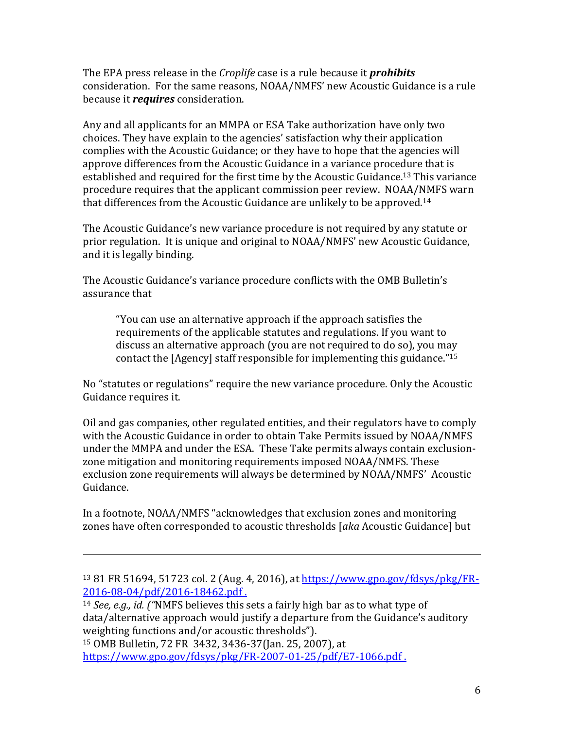The EPA press release in the *Croplife* case is a rule because it *prohibits* consideration. For the same reasons, NOAA/NMFS' new Acoustic Guidance is a rule because it *requires* consideration.

Any and all applicants for an MMPA or ESA Take authorization have only two choices. They have explain to the agencies' satisfaction why their application complies with the Acoustic Guidance; or they have to hope that the agencies will approve differences from the Acoustic Guidance in a variance procedure that is established and required for the first time by the Acoustic Guidance.<sup>13</sup> This variance procedure requires that the applicant commission peer review. NOAA/NMFS warn that differences from the Acoustic Guidance are unlikely to be approved.<sup>14</sup>

The Acoustic Guidance's new variance procedure is not required by any statute or prior regulation. It is unique and original to NOAA/NMFS' new Acoustic Guidance, and it is legally binding.

The Acoustic Guidance's variance procedure conflicts with the OMB Bulletin's assurance that

"You can use an alternative approach if the approach satisfies the requirements of the applicable statutes and regulations. If you want to discuss an alternative approach (you are not required to do so), you may contact the [Agency] staff responsible for implementing this guidance."<sup>15</sup>

No "statutes or regulations" require the new variance procedure. Only the Acoustic Guidance requires it.

Oil and gas companies, other regulated entities, and their regulators have to comply with the Acoustic Guidance in order to obtain Take Permits issued by NOAA/NMFS under the MMPA and under the ESA. These Take permits always contain exclusionzone mitigation and monitoring requirements imposed NOAA/NMFS. These exclusion zone requirements will always be determined by NOAA/NMFS' Acoustic Guidance.

In a footnote, NOAA/NMFS "acknowledges that exclusion zones and monitoring zones have often corresponded to acoustic thresholds [*aka* Acoustic Guidance] but

<sup>14</sup> *See, e.g., id. ("*NMFS believes this sets a fairly high bar as to what type of data/alternative approach would justify a departure from the Guidance's auditory weighting functions and/or acoustic thresholds").

<sup>15</sup> OMB Bulletin, 72 FR 3432, 3436-37(Jan. 25, 2007), at <https://www.gpo.gov/fdsys/pkg/FR-2007-01-25/pdf/E7-1066.pdf> .

 $\overline{\phantom{a}}$ 

<sup>13</sup> 81 FR 51694, 51723 col. 2 (Aug. 4, 2016), at [https://www.gpo.gov/fdsys/pkg/FR-](https://www.gpo.gov/fdsys/pkg/FR-2016-08-04/pdf/2016-18462.pdf)[2016-08-04/pdf/2016-18462.pdf](https://www.gpo.gov/fdsys/pkg/FR-2016-08-04/pdf/2016-18462.pdf) .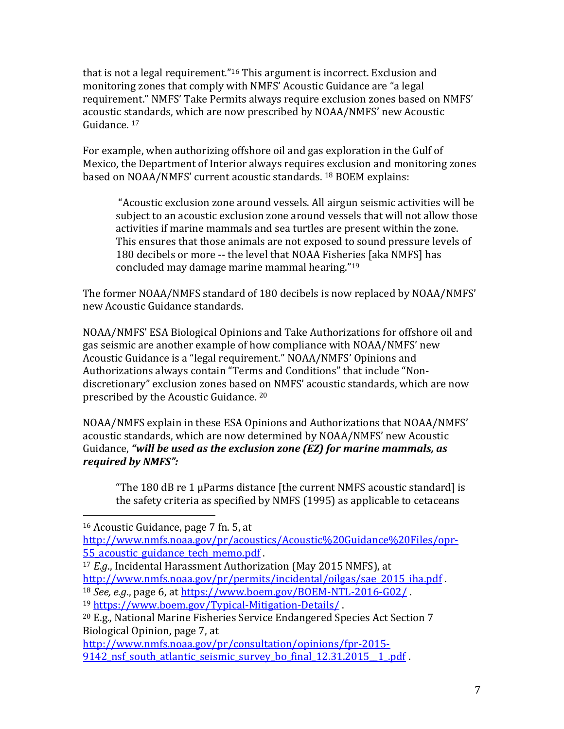that is not a legal requirement."<sup>16</sup> This argument is incorrect. Exclusion and monitoring zones that comply with NMFS' Acoustic Guidance are "a legal requirement." NMFS' Take Permits always require exclusion zones based on NMFS' acoustic standards, which are now prescribed by NOAA/NMFS' new Acoustic Guidance. <sup>17</sup>

For example, when authorizing offshore oil and gas exploration in the Gulf of Mexico, the Department of Interior always requires exclusion and monitoring zones based on NOAA/NMFS' current acoustic standards. <sup>18</sup> BOEM explains:

"Acoustic exclusion zone around vessels. All airgun seismic activities will be subject to an acoustic exclusion zone around vessels that will not allow those activities if marine mammals and sea turtles are present within the zone. This ensures that those animals are not exposed to sound pressure levels of 180 decibels or more -- the level that NOAA Fisheries [aka NMFS] has concluded may damage marine mammal hearing."<sup>19</sup>

The former NOAA/NMFS standard of 180 decibels is now replaced by NOAA/NMFS' new Acoustic Guidance standards.

NOAA/NMFS' ESA Biological Opinions and Take Authorizations for offshore oil and gas seismic are another example of how compliance with NOAA/NMFS' new Acoustic Guidance is a "legal requirement." NOAA/NMFS' Opinions and Authorizations always contain "Terms and Conditions" that include "Nondiscretionary" exclusion zones based on NMFS' acoustic standards, which are now prescribed by the Acoustic Guidance. <sup>20</sup>

NOAA/NMFS explain in these ESA Opinions and Authorizations that NOAA/NMFS' acoustic standards, which are now determined by NOAA/NMFS' new Acoustic Guidance, *"will be used as the exclusion zone (EZ) for marine mammals, as required by NMFS":*

"The 180 dB re 1 µParms distance [the current NMFS acoustic standard] is the safety criteria as specified by NMFS (1995) as applicable to cetaceans

 $\overline{\phantom{a}}$ 

<sup>17</sup> *E.g*., Incidental Harassment Authorization (May 2015 NMFS), at [http://www.nmfs.noaa.gov/pr/permits/incidental/oilgas/sae\\_2015\\_iha.pdf](https://www.nmfs.noaa.gov/pr/permits/incidental/oilgas/sae_2015_iha.pdf) .

<sup>18</sup> *See, e.g*., page 6, at<https://www.boem.gov/BOEM-NTL-2016-G02/> .

[http://www.nmfs.noaa.gov/pr/consultation/opinions/fpr-2015-](https://www.nmfs.noaa.gov/pr/consultation/opinions/fpr-2015-9142_nsf_south_atlantic_seismic_survey_bo_final_12.31.2015__1_.pdf) 9142 nsf south atlantic seismic survey bo final 12.31.2015 1.pdf .

<sup>16</sup> Acoustic Guidance, page 7 fn. 5, at

[http://www.nmfs.noaa.gov/pr/acoustics/Acoustic%20Guidance%20Files/opr-](https://www.nmfs.noaa.gov/pr/acoustics/Acoustic%20Guidance%20Files/opr-55_acoustic_guidance_tech_memo.pdf)55 acoustic guidance tech memo.pdf .

<sup>19</sup> <https://www.boem.gov/Typical-Mitigation-Details/> .

<sup>20</sup> E.g., National Marine Fisheries Service Endangered Species Act Section 7 Biological Opinion, page 7, at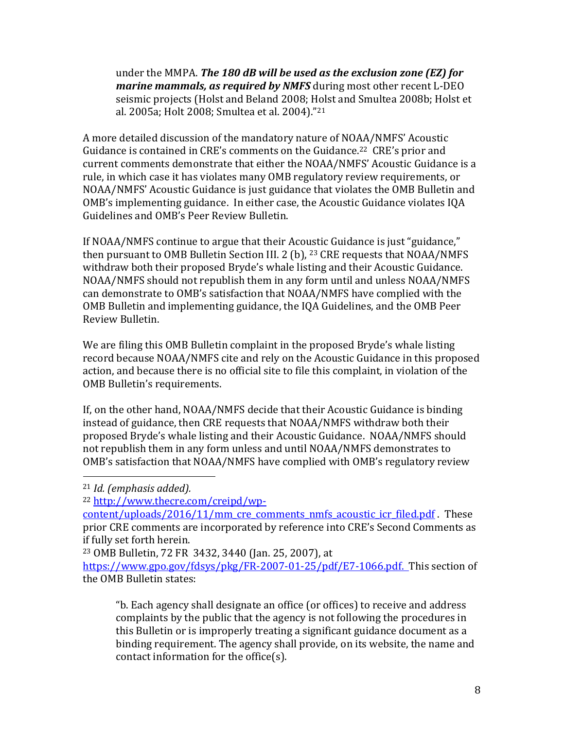under the MMPA. *The 180 dB will be used as the exclusion zone (EZ) for marine mammals, as required by NMFS* during most other recent L-DEO seismic projects (Holst and Beland 2008; Holst and Smultea 2008b; Holst et al. 2005a; Holt 2008; Smultea et al. 2004)."<sup>21</sup>

A more detailed discussion of the mandatory nature of NOAA/NMFS' Acoustic Guidance is contained in CRE's comments on the Guidance.<sup>22</sup> CRE's prior and current comments demonstrate that either the NOAA/NMFS' Acoustic Guidance is a rule, in which case it has violates many OMB regulatory review requirements, or NOAA/NMFS' Acoustic Guidance is just guidance that violates the OMB Bulletin and OMB's implementing guidance. In either case, the Acoustic Guidance violates IQA Guidelines and OMB's Peer Review Bulletin.

If NOAA/NMFS continue to argue that their Acoustic Guidance is just "guidance," then pursuant to OMB Bulletin Section III. 2 (b), <sup>23</sup> CRE requests that NOAA/NMFS withdraw both their proposed Bryde's whale listing and their Acoustic Guidance. NOAA/NMFS should not republish them in any form until and unless NOAA/NMFS can demonstrate to OMB's satisfaction that NOAA/NMFS have complied with the OMB Bulletin and implementing guidance, the IQA Guidelines, and the OMB Peer Review Bulletin.

We are filing this OMB Bulletin complaint in the proposed Bryde's whale listing record because NOAA/NMFS cite and rely on the Acoustic Guidance in this proposed action, and because there is no official site to file this complaint, in violation of the OMB Bulletin's requirements.

If, on the other hand, NOAA/NMFS decide that their Acoustic Guidance is binding instead of guidance, then CRE requests that NOAA/NMFS withdraw both their proposed Bryde's whale listing and their Acoustic Guidance. NOAA/NMFS should not republish them in any form unless and until NOAA/NMFS demonstrates to OMB's satisfaction that NOAA/NMFS have complied with OMB's regulatory review

l

<sup>21</sup> *Id. (emphasis added).*

<sup>22</sup> [http://www.thecre.com/creipd/wp-](https://www.thecre.com/creipd/wp-content/uploads/2016/11/mm_cre_comments_nmfs_acoustic_icr_filed.pdf)

[content/uploads/2016/11/mm\\_cre\\_comments\\_nmfs\\_acoustic\\_icr\\_filed.pdf](https://www.thecre.com/creipd/wp-content/uploads/2016/11/mm_cre_comments_nmfs_acoustic_icr_filed.pdf) . These prior CRE comments are incorporated by reference into CRE's Second Comments as if fully set forth herein.

<sup>23</sup> OMB Bulletin, 72 FR 3432, 3440 (Jan. 25, 2007), at

[https://www.gpo.gov/fdsys/pkg/FR-2007-01-25/pdf/E7-1066.pdf.](https://www.gpo.gov/fdsys/pkg/FR-2007-01-25/pdf/E7-1066.pdf) This section of the OMB Bulletin states:

<sup>&</sup>quot;b. Each agency shall designate an office (or offices) to receive and address complaints by the public that the agency is not following the procedures in this Bulletin or is improperly treating a significant guidance document as a binding requirement. The agency shall provide, on its website, the name and contact information for the office(s).